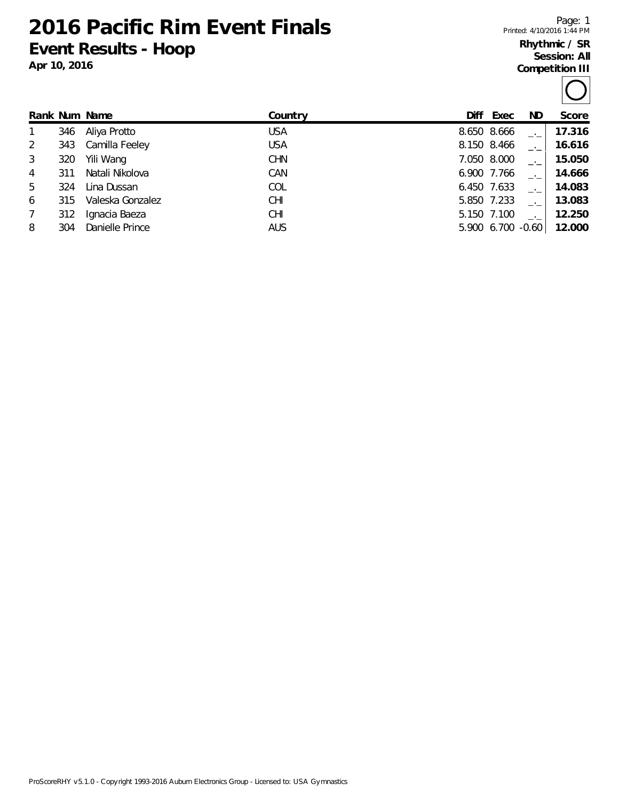**2016 Pacific Rim Event Finals Event Results - Hoop**

**Apr 10, 2016**

Page: 1 Printed: 4/10/2016 1:44 PM

## **Rhythmic / SR Session: All Competition III**

|                |     | Rank Num Name    | Country    | Diff        | Exec        | ND.               | Score  |
|----------------|-----|------------------|------------|-------------|-------------|-------------------|--------|
|                | 346 | Aliya Protto     | <b>USA</b> | 8.650 8.666 |             |                   | 17.316 |
| 2              | 343 | Camilla Feeley   | <b>USA</b> | 8.150 8.466 |             |                   | 16.616 |
| 3              | 320 | Yili Wang        | <b>CHN</b> |             | 7.050 8.000 |                   | 15.050 |
| $\overline{4}$ | 311 | Natali Nikolova  | CAN        | 6.900 7.766 |             |                   | 14.666 |
| 5              | 324 | Lina Dussan      | COL        | 6.450 7.633 |             |                   | 14.083 |
| 6              | 315 | Valeska Gonzalez | CHI        |             | 5.850 7.233 |                   | 13.083 |
| 7              | 312 | Ignacia Baeza    | <b>CHI</b> |             | 5.150 7.100 |                   | 12.250 |
| 8              | 304 | Danielle Prince  | <b>AUS</b> |             |             | 5.900 6.700 -0.60 | 12.000 |
|                |     |                  |            |             |             |                   |        |

ProScoreRHY v5.1.0 - Copyright 1993-2016 Auburn Electronics Group - Licensed to: USA Gymnastics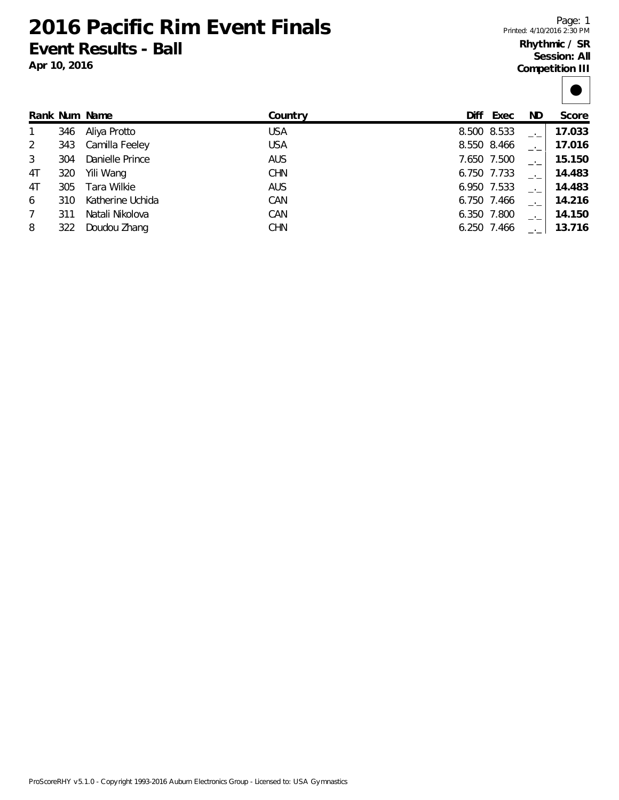**2016 Pacific Rim Event Finals Event Results - Ball**

**Apr 10, 2016**

## **Rhythmic / SR Session: All Competition III**

|    |     | Rank Num Name    | Country    | Diff        | Exec        | ND. | Score  |
|----|-----|------------------|------------|-------------|-------------|-----|--------|
|    | 346 | Aliya Protto     | <b>USA</b> | 8.500 8.533 |             |     | 17.033 |
|    | 343 | Camilla Feeley   | <b>USA</b> | 8.550 8.466 |             |     | 17.016 |
|    | 304 | Danielle Prince  | <b>AUS</b> |             | 7.650 7.500 |     | 15.150 |
| 4T | 320 | Yili Wang        | <b>CHN</b> | 6.750 7.733 |             |     | 14.483 |
| 4T | 305 | Tara Wilkie      | <b>AUS</b> | 6.950 7.533 |             |     | 14.483 |
| 6  | 310 | Katherine Uchida | CAN        | 6.750 7.466 |             |     | 14.216 |
|    | 311 | Natali Nikolova  | CAN        | 6.350 7.800 |             |     | 14.150 |
| 8  | 322 | Doudou Zhang     | <b>CHN</b> | 6.250 7.466 |             |     | 13.716 |
|    |     |                  |            |             |             |     |        |

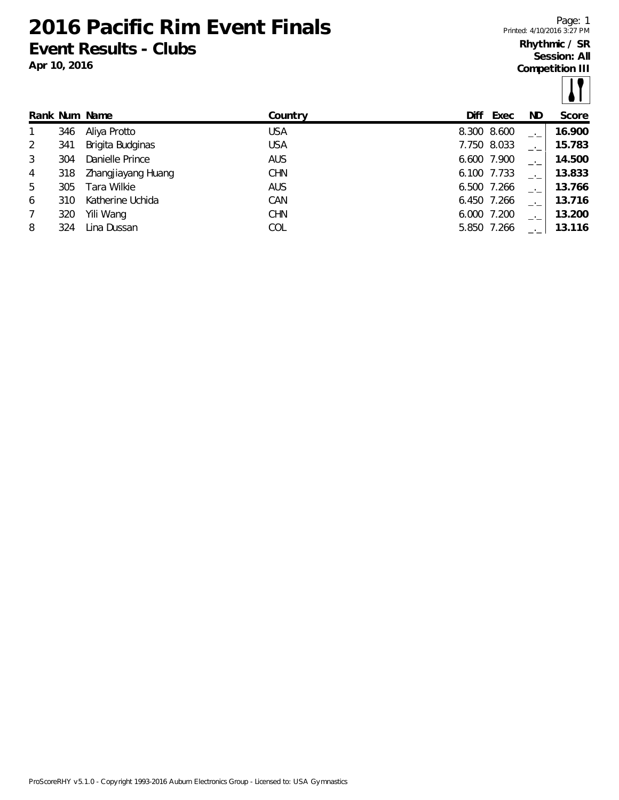**2016 Pacific Rim Event Finals Event Results - Clubs**

**Apr 10, 2016**

Page: 1 Printed: 4/10/2016 3:27 PM

## **Rhythmic / SR Session: All**

**Competition III**

 $| \cdot |$ 

|                 |      |                    |            |             |      |     | .      |
|-----------------|------|--------------------|------------|-------------|------|-----|--------|
|                 |      | Rank Num Name      | Country    | Diff        | Exec | ND. | Score  |
| $\mathbf{1}$    | 346  | Aliya Protto       | <b>USA</b> | 8.300 8.600 |      |     | 16.900 |
| 2               | 341  | Brigita Budginas   | <b>USA</b> | 7.750 8.033 |      |     | 15.783 |
| 3               | 304  | Danielle Prince    | <b>AUS</b> | 6.600 7.900 |      |     | 14.500 |
| 4               | 318  | Zhangjiayang Huang | <b>CHN</b> | 6.100 7.733 |      |     | 13.833 |
| 5               | 305. | Tara Wilkie        | <b>AUS</b> | 6.500 7.266 |      |     | 13.766 |
| 6               | 310  | Katherine Uchida   | CAN        | 6.450 7.266 |      |     | 13.716 |
| $7\overline{ }$ | 320  | Yili Wang          | <b>CHN</b> | 6.000 7.200 |      |     | 13.200 |
| 8               | 324  | Lina Dussan        | COL        | 5.850 7.266 |      |     | 13.116 |
|                 |      |                    |            |             |      |     |        |

ProScoreRHY v5.1.0 - Copyright 1993-2016 Auburn Electronics Group - Licensed to: USA Gymnastics